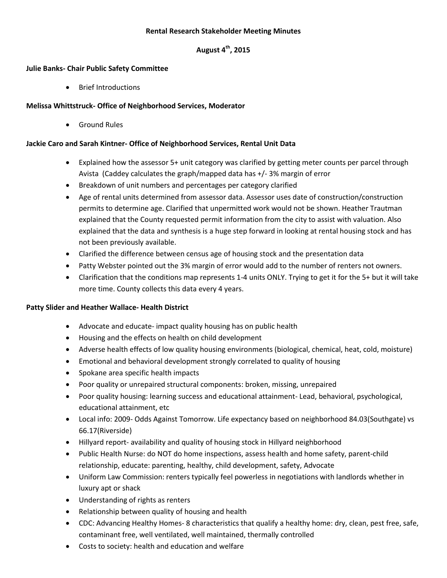#### **Rental Research Stakeholder Meeting Minutes**

# **August 4th, 2015**

### **Julie Banks- Chair Public Safety Committee**

• Brief Introductions

### **Melissa Whittstruck- Office of Neighborhood Services, Moderator**

**•** Ground Rules

### **Jackie Caro and Sarah Kintner- Office of Neighborhood Services, Rental Unit Data**

- Explained how the assessor 5+ unit category was clarified by getting meter counts per parcel through Avista (Caddey calculates the graph/mapped data has +/- 3% margin of error
- Breakdown of unit numbers and percentages per category clarified
- Age of rental units determined from assessor data. Assessor uses date of construction/construction permits to determine age. Clarified that unpermitted work would not be shown. Heather Trautman explained that the County requested permit information from the city to assist with valuation. Also explained that the data and synthesis is a huge step forward in looking at rental housing stock and has not been previously available.
- Clarified the difference between census age of housing stock and the presentation data
- Patty Webster pointed out the 3% margin of error would add to the number of renters not owners.
- Clarification that the conditions map represents 1-4 units ONLY. Trying to get it for the 5+ but it will take more time. County collects this data every 4 years.

### **Patty Slider and Heather Wallace- Health District**

- Advocate and educate- impact quality housing has on public health
- Housing and the effects on health on child development
- Adverse health effects of low quality housing environments (biological, chemical, heat, cold, moisture)
- Emotional and behavioral development strongly correlated to quality of housing
- Spokane area specific health impacts
- Poor quality or unrepaired structural components: broken, missing, unrepaired
- Poor quality housing: learning success and educational attainment- Lead, behavioral, psychological, educational attainment, etc
- Local info: 2009- Odds Against Tomorrow. Life expectancy based on neighborhood 84.03(Southgate) vs 66.17(Riverside)
- Hillyard report- availability and quality of housing stock in Hillyard neighborhood
- Public Health Nurse: do NOT do home inspections, assess health and home safety, parent-child relationship, educate: parenting, healthy, child development, safety, Advocate
- Uniform Law Commission: renters typically feel powerless in negotiations with landlords whether in luxury apt or shack
- Understanding of rights as renters
- Relationship between quality of housing and health
- CDC: Advancing Healthy Homes- 8 characteristics that qualify a healthy home: dry, clean, pest free, safe, contaminant free, well ventilated, well maintained, thermally controlled
- Costs to society: health and education and welfare